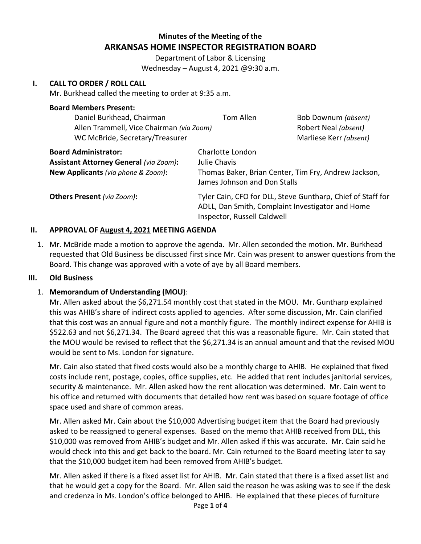# **Minutes of the Meeting of the ARKANSAS HOME INSPECTOR REGISTRATION BOARD**

Department of Labor & Licensing Wednesday – August 4, 2021 @9:30 a.m.

## **I. CALL TO ORDER / ROLL CALL**

Mr. Burkhead called the meeting to order at 9:35 a.m.

| <b>Board Members Present:</b>                 |                                                                                      |                        |
|-----------------------------------------------|--------------------------------------------------------------------------------------|------------------------|
| Daniel Burkhead, Chairman                     | Tom Allen                                                                            | Bob Downum (absent)    |
| Allen Trammell, Vice Chairman (via Zoom)      |                                                                                      | Robert Neal (absent)   |
| WC McBride, Secretary/Treasurer               |                                                                                      | Marliese Kerr (absent) |
| <b>Board Administrator:</b>                   | Charlotte London                                                                     |                        |
| <b>Assistant Attorney General (via Zoom):</b> | Julie Chavis                                                                         |                        |
| New Applicants (via phone & Zoom):            | Thomas Baker, Brian Center, Tim Fry, Andrew Jackson,<br>James Johnson and Don Stalls |                        |
|                                               |                                                                                      |                        |
| <b>Others Present</b> (via Zoom):             | Tyler Cain, CFO for DLL, Steve Guntharp, Chief of Staff for                          |                        |
|                                               | ADLL, Dan Smith, Complaint Investigator and Home                                     |                        |
|                                               | Inspector, Russell Caldwell                                                          |                        |

## **II. APPROVAL OF August 4, 2021 MEETING AGENDA**

1. Mr. McBride made a motion to approve the agenda. Mr. Allen seconded the motion. Mr. Burkhead requested that Old Business be discussed first since Mr. Cain was present to answer questions from the Board. This change was approved with a vote of aye by all Board members.

#### **III. Old Business**

## 1. **Memorandum of Understanding (MOU)**:

Mr. Allen asked about the \$6,271.54 monthly cost that stated in the MOU. Mr. Guntharp explained this was AHIB's share of indirect costs applied to agencies. After some discussion, Mr. Cain clarified that this cost was an annual figure and not a monthly figure. The monthly indirect expense for AHIB is \$522.63 and not \$6,271.34. The Board agreed that this was a reasonable figure. Mr. Cain stated that the MOU would be revised to reflect that the \$6,271.34 is an annual amount and that the revised MOU would be sent to Ms. London for signature.

Mr. Cain also stated that fixed costs would also be a monthly charge to AHIB. He explained that fixed costs include rent, postage, copies, office supplies, etc. He added that rent includes janitorial services, security & maintenance. Mr. Allen asked how the rent allocation was determined. Mr. Cain went to his office and returned with documents that detailed how rent was based on square footage of office space used and share of common areas.

Mr. Allen asked Mr. Cain about the \$10,000 Advertising budget item that the Board had previously asked to be reassigned to general expenses. Based on the memo that AHIB received from DLL, this \$10,000 was removed from AHIB's budget and Mr. Allen asked if this was accurate. Mr. Cain said he would check into this and get back to the board. Mr. Cain returned to the Board meeting later to say that the \$10,000 budget item had been removed from AHIB's budget.

Mr. Allen asked if there is a fixed asset list for AHIB. Mr. Cain stated that there is a fixed asset list and that he would get a copy for the Board. Mr. Allen said the reason he was asking was to see if the desk and credenza in Ms. London's office belonged to AHIB. He explained that these pieces of furniture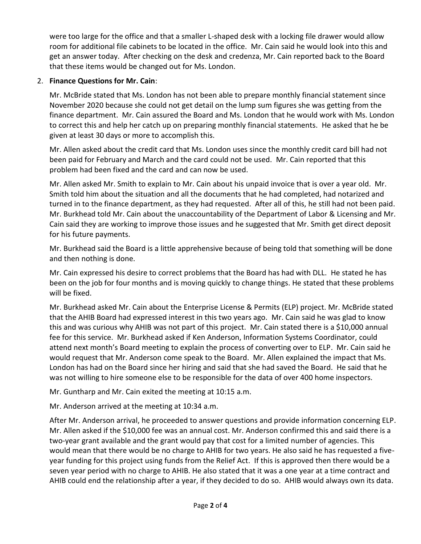were too large for the office and that a smaller L-shaped desk with a locking file drawer would allow room for additional file cabinets to be located in the office. Mr. Cain said he would look into this and get an answer today. After checking on the desk and credenza, Mr. Cain reported back to the Board that these items would be changed out for Ms. London.

# 2. **Finance Questions for Mr. Cain**:

Mr. McBride stated that Ms. London has not been able to prepare monthly financial statement since November 2020 because she could not get detail on the lump sum figures she was getting from the finance department. Mr. Cain assured the Board and Ms. London that he would work with Ms. London to correct this and help her catch up on preparing monthly financial statements. He asked that he be given at least 30 days or more to accomplish this.

Mr. Allen asked about the credit card that Ms. London uses since the monthly credit card bill had not been paid for February and March and the card could not be used. Mr. Cain reported that this problem had been fixed and the card and can now be used.

Mr. Allen asked Mr. Smith to explain to Mr. Cain about his unpaid invoice that is over a year old. Mr. Smith told him about the situation and all the documents that he had completed, had notarized and turned in to the finance department, as they had requested. After all of this, he still had not been paid. Mr. Burkhead told Mr. Cain about the unaccountability of the Department of Labor & Licensing and Mr. Cain said they are working to improve those issues and he suggested that Mr. Smith get direct deposit for his future payments.

Mr. Burkhead said the Board is a little apprehensive because of being told that something will be done and then nothing is done.

Mr. Cain expressed his desire to correct problems that the Board has had with DLL. He stated he has been on the job for four months and is moving quickly to change things. He stated that these problems will be fixed.

Mr. Burkhead asked Mr. Cain about the Enterprise License & Permits (ELP) project. Mr. McBride stated that the AHIB Board had expressed interest in this two years ago. Mr. Cain said he was glad to know this and was curious why AHIB was not part of this project. Mr. Cain stated there is a \$10,000 annual fee for this service. Mr. Burkhead asked if Ken Anderson, Information Systems Coordinator, could attend next month's Board meeting to explain the process of converting over to ELP. Mr. Cain said he would request that Mr. Anderson come speak to the Board. Mr. Allen explained the impact that Ms. London has had on the Board since her hiring and said that she had saved the Board. He said that he was not willing to hire someone else to be responsible for the data of over 400 home inspectors.

Mr. Guntharp and Mr. Cain exited the meeting at 10:15 a.m.

Mr. Anderson arrived at the meeting at 10:34 a.m.

After Mr. Anderson arrival, he proceeded to answer questions and provide information concerning ELP. Mr. Allen asked if the \$10,000 fee was an annual cost. Mr. Anderson confirmed this and said there is a two-year grant available and the grant would pay that cost for a limited number of agencies. This would mean that there would be no charge to AHIB for two years. He also said he has requested a fiveyear funding for this project using funds from the Relief Act. If this is approved then there would be a seven year period with no charge to AHIB. He also stated that it was a one year at a time contract and AHIB could end the relationship after a year, if they decided to do so. AHIB would always own its data.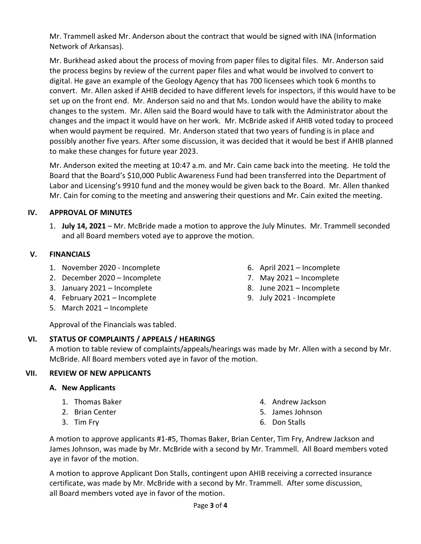Mr. Trammell asked Mr. Anderson about the contract that would be signed with INA (Information Network of Arkansas).

Mr. Burkhead asked about the process of moving from paper files to digital files. Mr. Anderson said the process begins by review of the current paper files and what would be involved to convert to digital. He gave an example of the Geology Agency that has 700 licensees which took 6 months to convert. Mr. Allen asked if AHIB decided to have different levels for inspectors, if this would have to be set up on the front end. Mr. Anderson said no and that Ms. London would have the ability to make changes to the system. Mr. Allen said the Board would have to talk with the Administrator about the changes and the impact it would have on her work. Mr. McBride asked if AHIB voted today to proceed when would payment be required. Mr. Anderson stated that two years of funding is in place and possibly another five years. After some discussion, it was decided that it would be best if AHIB planned to make these changes for future year 2023.

Mr. Anderson exited the meeting at 10:47 a.m. and Mr. Cain came back into the meeting. He told the Board that the Board's \$10,000 Public Awareness Fund had been transferred into the Department of Labor and Licensing's 9910 fund and the money would be given back to the Board. Mr. Allen thanked Mr. Cain for coming to the meeting and answering their questions and Mr. Cain exited the meeting.

## **IV. APPROVAL OF MINUTES**

1. **July 14, 2021** – Mr. McBride made a motion to approve the July Minutes. Mr. Trammell seconded and all Board members voted aye to approve the motion.

#### **V. FINANCIALS**

- 1. November 2020 Incomplete
- 2. December 2020 Incomplete
- 3. January 2021 Incomplete
- 4. February 2021 Incomplete
- 5. March 2021 Incomplete
- 6. April 2021 Incomplete
- 7. May 2021 Incomplete
- 8. June 2021 Incomplete
- 9. July 2021 Incomplete

Approval of the Financials was tabled.

## **VI. STATUS OF COMPLAINTS / APPEALS / HEARINGS**

A motion to table review of complaints/appeals/hearings was made by Mr. Allen with a second by Mr. McBride. All Board members voted aye in favor of the motion.

## **VII. REVIEW OF NEW APPLICANTS**

- **A. New Applicants**
	- 1. Thomas Baker
	- 2. Brian Center
	- 3. Tim Fry
- 4. Andrew Jackson
- 5. James Johnson
- 6. Don Stalls

A motion to approve applicants #1-#5, Thomas Baker, Brian Center, Tim Fry, Andrew Jackson and James Johnson, was made by Mr. McBride with a second by Mr. Trammell. All Board members voted aye in favor of the motion.

A motion to approve Applicant Don Stalls, contingent upon AHIB receiving a corrected insurance certificate, was made by Mr. McBride with a second by Mr. Trammell. After some discussion, all Board members voted aye in favor of the motion.